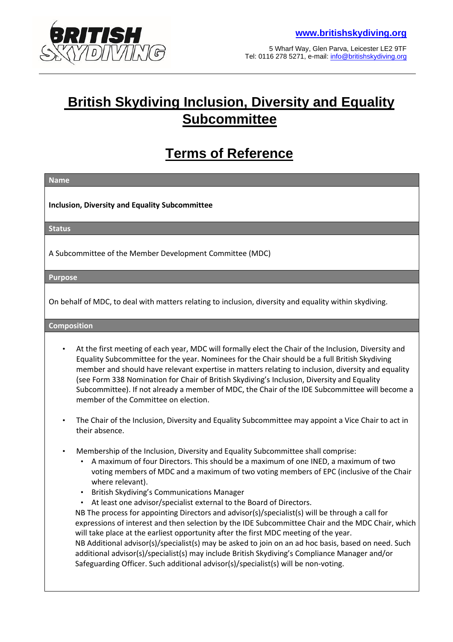

5 Wharf Way, Glen Parva, Leicester LE2 9TF Tel: 0116 278 5271, e-mail: info@britishskydiving.org

# **British Skydiving Inclusion, Diversity and Equality Subcommittee**

# **Terms of Reference**

**Name** 

**Inclusion, Diversity and Equality Subcommittee** 

**Status** 

A Subcommittee of the Member Development Committee (MDC)

**Purpose** 

On behalf of MDC, to deal with matters relating to inclusion, diversity and equality within skydiving.

**Composition** 

- At the first meeting of each year, MDC will formally elect the Chair of the Inclusion, Diversity and Equality Subcommittee for the year. Nominees for the Chair should be a full British Skydiving member and should have relevant expertise in matters relating to inclusion, diversity and equality (see Form 338 Nomination for Chair of British Skydiving's Inclusion, Diversity and Equality Subcommittee). If not already a member of MDC, the Chair of the IDE Subcommittee will become a member of the Committee on election.
- The Chair of the Inclusion, Diversity and Equality Subcommittee may appoint a Vice Chair to act in their absence.
- Membership of the Inclusion, Diversity and Equality Subcommittee shall comprise:
	- A maximum of four Directors. This should be a maximum of one INED, a maximum of two voting members of MDC and a maximum of two voting members of EPC (inclusive of the Chair where relevant).
	- British Skydiving's Communications Manager
	- At least one advisor/specialist external to the Board of Directors.

NB The process for appointing Directors and advisor(s)/specialist(s) will be through a call for expressions of interest and then selection by the IDE Subcommittee Chair and the MDC Chair, which will take place at the earliest opportunity after the first MDC meeting of the year. NB Additional advisor(s)/specialist(s) may be asked to join on an ad hoc basis, based on need. Such additional advisor(s)/specialist(s) may include British Skydiving's Compliance Manager and/or Safeguarding Officer. Such additional advisor(s)/specialist(s) will be non-voting.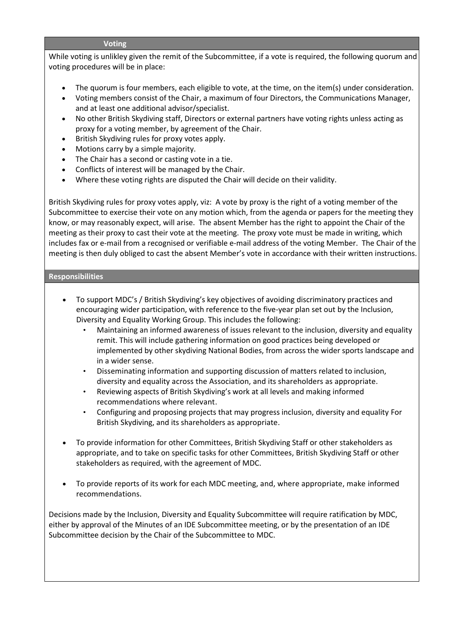#### **Voting**

While voting is unlikley given the remit of the Subcommittee, if a vote is required, the following quorum and voting procedures will be in place:

- The quorum is four members, each eligible to vote, at the time, on the item(s) under consideration.
- Voting members consist of the Chair, a maximum of four Directors, the Communications Manager, and at least one additional advisor/specialist.
- No other British Skydiving staff, Directors or external partners have voting rights unless acting as proxy for a voting member, by agreement of the Chair.
- British Skydiving rules for proxy votes apply.
- Motions carry by a simple majority.
- The Chair has a second or casting vote in a tie.
- Conflicts of interest will be managed by the Chair.
- Where these voting rights are disputed the Chair will decide on their validity.

British Skydiving rules for proxy votes apply, viz: A vote by proxy is the right of a voting member of the Subcommittee to exercise their vote on any motion which, from the agenda or papers for the meeting they know, or may reasonably expect, will arise. The absent Member has the right to appoint the Chair of the meeting as their proxy to cast their vote at the meeting. The proxy vote must be made in writing, which includes fax or e-mail from a recognised or verifiable e-mail address of the voting Member. The Chair of the meeting is then duly obliged to cast the absent Member's vote in accordance with their written instructions.

## **Responsibilities**

- To support MDC's / British Skydiving's key objectives of avoiding discriminatory practices and encouraging wider participation, with reference to the five-year plan set out by the Inclusion, Diversity and Equality Working Group. This includes the following:
	- Maintaining an informed awareness of issues relevant to the inclusion, diversity and equality remit. This will include gathering information on good practices being developed or implemented by other skydiving National Bodies, from across the wider sports landscape and in a wider sense.
	- Disseminating information and supporting discussion of matters related to inclusion, diversity and equality across the Association, and its shareholders as appropriate.
	- Reviewing aspects of British Skydiving's work at all levels and making informed recommendations where relevant.
	- Configuring and proposing projects that may progress inclusion, diversity and equality For British Skydiving, and its shareholders as appropriate.
- To provide information for other Committees, British Skydiving Staff or other stakeholders as appropriate, and to take on specific tasks for other Committees, British Skydiving Staff or other stakeholders as required, with the agreement of MDC.
- To provide reports of its work for each MDC meeting, and, where appropriate, make informed recommendations.

Decisions made by the Inclusion, Diversity and Equality Subcommittee will require ratification by MDC, either by approval of the Minutes of an IDE Subcommittee meeting, or by the presentation of an IDE Subcommittee decision by the Chair of the Subcommittee to MDC.